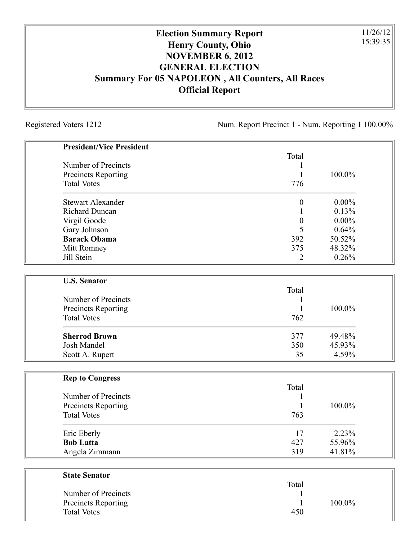## **Election Summary Report Henry County, Ohio NOVEMBER 6, 2012 GENERAL ELECTION Summary For 05 NAPOLEON , All Counters, All Races Official Report**

Registered Voters 1212 Num. Report Precinct 1 - Num. Reporting 1 100.00%

11/26/12 15:39:35

| <b>President/Vice President</b> |                  |          |
|---------------------------------|------------------|----------|
|                                 | Total            |          |
| Number of Precincts             |                  |          |
| Precincts Reporting             | 1                | 100.0%   |
| <b>Total Votes</b>              | 776              |          |
| <b>Stewart Alexander</b>        | $\boldsymbol{0}$ | $0.00\%$ |
| <b>Richard Duncan</b>           |                  | 0.13%    |
| Virgil Goode                    | $\boldsymbol{0}$ | $0.00\%$ |
| Gary Johnson                    | 5                | 0.64%    |
| <b>Barack Obama</b>             | 392              | 50.52%   |
| Mitt Romney                     | 375              | 48.32%   |
| Jill Stein                      | 2                | 0.26%    |
| <b>U.S. Senator</b>             |                  |          |
|                                 | Total            |          |
| Number of Precincts             |                  |          |
| Precincts Reporting             | 1                | 100.0%   |
| <b>Total Votes</b>              | 762              |          |
| <b>Sherrod Brown</b>            | 377              | 49.48%   |
| Josh Mandel                     | 350              | 45.93%   |
| Scott A. Rupert                 | 35               | 4.59%    |
|                                 |                  |          |
| <b>Rep to Congress</b>          | Total            |          |
| Number of Precincts             |                  |          |
| <b>Precincts Reporting</b>      |                  | 100.0%   |
| <b>Total Votes</b>              | 763              |          |
| Eric Eberly                     | 17               | 2.23%    |
| <b>Bob Latta</b>                | 427              | 55.96%   |
| Angela Zimmann                  | 319              | 41.81%   |
|                                 |                  |          |
| <b>State Senator</b>            | Total            |          |
| Number of Precincts             |                  |          |
|                                 |                  |          |

Precincts Reporting 1 100.0%

Total Votes 450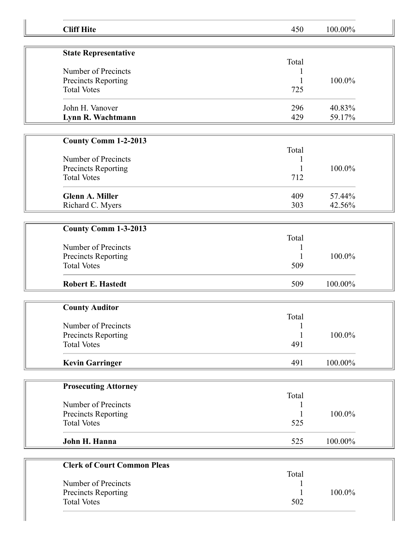| <b>Cliff Hite</b>                         | 450   | 100.00% |
|-------------------------------------------|-------|---------|
| <b>State Representative</b>               |       |         |
|                                           | Total |         |
| Number of Precincts                       |       |         |
| Precincts Reporting                       |       | 100.0%  |
| <b>Total Votes</b>                        | 725   |         |
|                                           |       |         |
| John H. Vanover                           | 296   | 40.83%  |
| Lynn R. Wachtmann                         | 429   | 59.17%  |
|                                           |       |         |
| <b>County Comm 1-2-2013</b>               |       |         |
|                                           | Total |         |
| Number of Precincts                       |       |         |
| Precincts Reporting                       |       | 100.0%  |
| <b>Total Votes</b>                        | 712   |         |
|                                           |       |         |
| <b>Glenn A. Miller</b>                    | 409   | 57.44%  |
| Richard C. Myers                          | 303   | 42.56%  |
|                                           |       |         |
| County Comm 1-3-2013                      |       |         |
|                                           | Total |         |
| Number of Precincts                       |       |         |
| Precincts Reporting                       |       | 100.0%  |
| <b>Total Votes</b>                        | 509   |         |
| <b>Robert E. Hastedt</b>                  | 509   | 100.00% |
|                                           |       |         |
| <b>County Auditor</b>                     |       |         |
|                                           | Total |         |
| Number of Precincts                       | 1     |         |
| Precincts Reporting                       |       | 100.0%  |
| <b>Total Votes</b>                        | 491   |         |
| <b>Kevin Garringer</b>                    | 491   | 100.00% |
|                                           |       |         |
| <b>Prosecuting Attorney</b>               |       |         |
|                                           | Total |         |
| Number of Precincts                       | 1     |         |
| Precincts Reporting                       |       | 100.0%  |
| <b>Total Votes</b>                        | 525   |         |
| John H. Hanna                             | 525   | 100.00% |
|                                           |       |         |
| <b>Clerk of Court Common Pleas</b>        |       |         |
|                                           | Total |         |
| Number of Precincts                       |       |         |
| Precincts Reporting<br><b>Total Votes</b> | 502   | 100.0%  |
|                                           |       |         |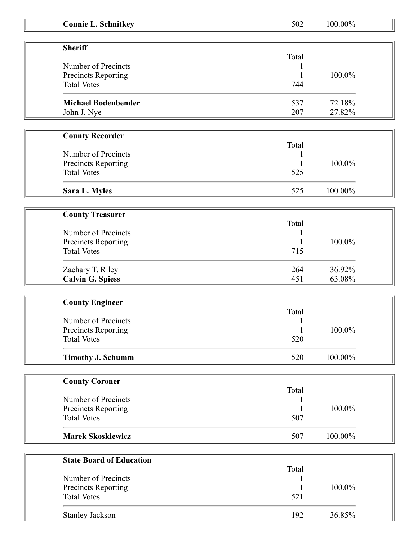| <b>Connie L. Schnitkey</b>      | 502          | 100.00% |  |
|---------------------------------|--------------|---------|--|
|                                 |              |         |  |
| <b>Sheriff</b>                  | Total        |         |  |
| Number of Precincts             |              |         |  |
| Precincts Reporting             | 1            | 100.0%  |  |
| <b>Total Votes</b>              | 744          |         |  |
|                                 |              |         |  |
| <b>Michael Bodenbender</b>      | 537          | 72.18%  |  |
| John J. Nye                     | 207          | 27.82%  |  |
| <b>County Recorder</b>          |              |         |  |
|                                 | Total        |         |  |
| Number of Precincts             |              |         |  |
| Precincts Reporting             |              | 100.0%  |  |
| <b>Total Votes</b>              | 525          |         |  |
| Sara L. Myles                   | 525          | 100.00% |  |
|                                 |              |         |  |
| <b>County Treasurer</b>         |              |         |  |
|                                 | Total        |         |  |
| Number of Precincts             |              |         |  |
| Precincts Reporting             |              | 100.0%  |  |
| <b>Total Votes</b>              | 715          |         |  |
| Zachary T. Riley                | 264          | 36.92%  |  |
| <b>Calvin G. Spiess</b>         | 451          | 63.08%  |  |
|                                 |              |         |  |
| <b>County Engineer</b>          |              |         |  |
|                                 | Total        |         |  |
| Number of Precincts             |              |         |  |
| Precincts Reporting             | $\mathbf{1}$ | 100.0%  |  |
| <b>Total Votes</b>              | 520          |         |  |
| <b>Timothy J. Schumm</b>        | 520          | 100.00% |  |
|                                 |              |         |  |
| <b>County Coroner</b>           |              |         |  |
|                                 | Total        |         |  |
| Number of Precincts             |              |         |  |
| Precincts Reporting             |              | 100.0%  |  |
| <b>Total Votes</b>              | 507          |         |  |
| <b>Marek Skoskiewicz</b>        | 507          | 100.00% |  |
|                                 |              |         |  |
| <b>State Board of Education</b> |              |         |  |
|                                 | Total        |         |  |
| Number of Precincts             |              |         |  |
| Precincts Reporting             |              | 100.0%  |  |
| <b>Total Votes</b>              | 521          |         |  |
| <b>Stanley Jackson</b>          | 192          | 36.85%  |  |
|                                 |              |         |  |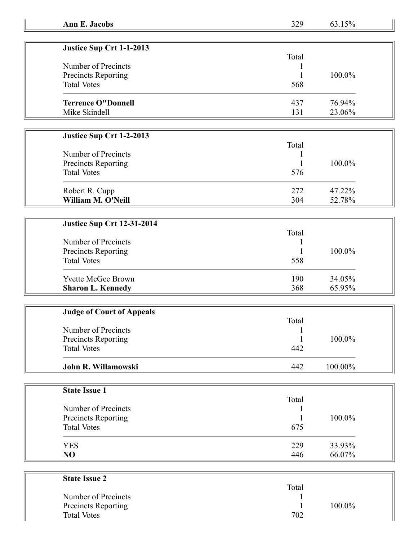| Justice Sup Crt 1-1-2013  |       |           |
|---------------------------|-------|-----------|
|                           | Total |           |
| Number of Precincts       |       |           |
| Precincts Reporting       |       | $100.0\%$ |
| <b>Total Votes</b>        | 568   |           |
| <b>Terrence O"Donnell</b> | 437   | 76.94%    |
| Mike Skindell             | 131   | 23.06%    |

## **Justice Sup Crt 1-2-2013**

| Number of Precincts<br>Precincts Reporting<br><b>Total Votes</b> | Total<br>576 | 100.0% |
|------------------------------------------------------------------|--------------|--------|
| Robert R. Cupp                                                   | 272          | 47.22% |
| William M. O'Neill                                               | 304          | 52.78% |

## **Justice Sup Crt 12-31-2014**

|                            | Total |        |  |
|----------------------------|-------|--------|--|
| Number of Precincts        |       |        |  |
| <b>Precincts Reporting</b> |       | 100.0% |  |
| <b>Total Votes</b>         | 558   |        |  |
| <b>Yvette McGee Brown</b>  | 190   | 34.05% |  |
| <b>Sharon L. Kennedy</b>   | 368   | 65.95% |  |

| <b>Judge of Court of Appeals</b> |       |         |  |
|----------------------------------|-------|---------|--|
|                                  | Total |         |  |
| Number of Precincts              |       |         |  |
| Precincts Reporting              |       | 100.0%  |  |
| <b>Total Votes</b>               | 442   |         |  |
| John R. Willamowski              | 442   | 100.00% |  |

| <b>State Issue 1</b> |       |        |
|----------------------|-------|--------|
|                      | Total |        |
| Number of Precincts  |       |        |
| Precincts Reporting  |       | 100.0% |
| <b>Total Votes</b>   | 675   |        |
| <b>YES</b>           | 229   | 33.93% |
| NO                   | 446   | 66.07% |

| <b>State Issue 2</b>       |       |        |
|----------------------------|-------|--------|
|                            | Total |        |
| Number of Precincts        |       |        |
| <b>Precincts Reporting</b> |       | 100.0% |
| <b>Total Votes</b>         | 702   |        |